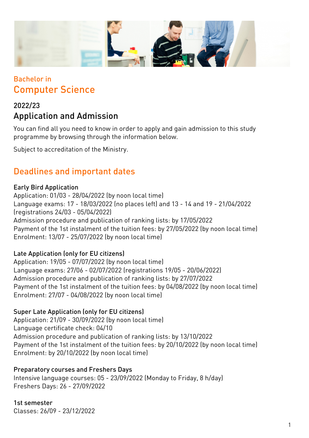

## Bachelor in Computer Science

## 2022/23 Application and Admission

You can find all you need to know in order to apply and gain admission to this study programme by browsing through the information below.

Subject to accreditation of the Ministry.

## Deadlines and important dates

#### Early Bird Application

Application: 01/03 - 28/04/2022 (by noon local time) Language exams: 17 - 18/03/2022 (no places left) and 13 - 14 and 19 - 21/04/2022 (registrations 24/03 - 05/04/2022) Admission procedure and publication of ranking lists: by 17/05/2022 Payment of the 1st instalment of the tuition fees: by 27/05/2022 (by noon local time) Enrolment: 13/07 - 25/07/2022 (by noon local time)

### Late Application (only for EU citizens)

Application: 19/05 - 07/07/2022 (by noon local time) Language exams: 27/06 - 02/07/2022 (registrations 19/05 - 20/06/2022) Admission procedure and publication of ranking lists: by 27/07/2022 Payment of the 1st instalment of the tuition fees: by 04/08/2022 (by noon local time) Enrolment: 27/07 - 04/08/2022 (by noon local time)

#### Super Late Application (only for EU citizens)

Application: 21/09 - 30/09/2022 (by noon local time) Language certificate check: 04/10 Admission procedure and publication of ranking lists: by 13/10/2022 Payment of the 1st instalment of the tuition fees: by 20/10/2022 (by noon local time) Enrolment: by 20/10/2022 (by noon local time)

#### Preparatory courses and Freshers Days

Intensive language courses: 05 - 23/09/2022 (Monday to Friday, 8 h/day) Freshers Days: 26 - 27/09/2022

1st semester Classes: 26/09 - 23/12/2022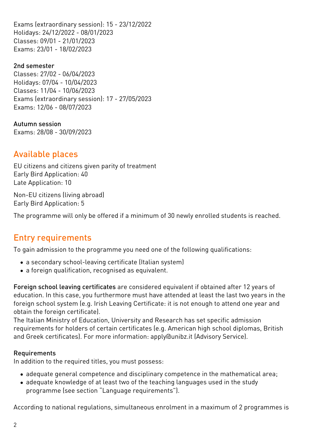Exams (extraordinary session): 15 - 23/12/2022 Holidays: 24/12/2022 - 08/01/2023 Classes: 09/01 - 21/01/2023 Exams: 23/01 - 18/02/2023

2nd semester Classes: 27/02 - 06/04/2023 Holidays: 07/04 - 10/04/2023 Classes: 11/04 - 10/06/2023 Exams (extraordinary session): 17 - 27/05/2023 Exams: 12/06 - 08/07/2023

Autumn session Exams: 28/08 - 30/09/2023

# Available places

EU citizens and citizens given parity of treatment Early Bird Application: 40 Late Application: 10

Non-EU citizens (living abroad) Early Bird Application: 5

The programme will only be offered if a minimum of 30 newly enrolled students is reached.

# Entry requirements

To gain admission to the programme you need one of the following qualifications:

- a secondary school-leaving certificate (Italian system)
- a foreign qualification, recognised as equivalent.

Foreign school leaving certificates are considered equivalent if obtained after 12 years of education. In this case, you furthermore must have attended at least the last two years in the foreign school system (e.g. Irish Leaving Certificate: it is not enough to attend one year and obtain the foreign certificate).

The Italian Ministry of Education, University and Research has set specific admission requirements for holders of certain certificates (e.g. American high school diplomas, British and Greek certificates). For more information: [apply@unibz.it](mailto:apply@unibz.it) (Advisory Service).

#### Requirements

In addition to the required titles, you must possess:

- adequate general competence and disciplinary competence in the mathematical area;
- adequate knowledge of at least two of the teaching languages used in the study programme (see section "Language requirements").

According to national regulations, simultaneous enrolment in a maximum of 2 programmes is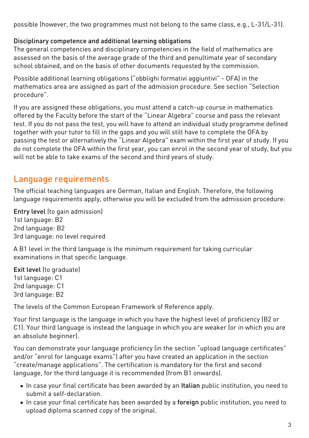possible (however, the two programmes must not belong to the same class, e.g., L-31/L-31).

#### Disciplinary competence and additional learning obligations

The general competencies and disciplinary competencies in the field of mathematics are assessed on the basis of the average grade of the third and penultimate year of secondary school obtained, and on the basis of other documents requested by the commission.

Possible additional learning obligations ("obblighi formativi aggiuntivi" - OFA) in the mathematics area are assigned as part of the admission procedure. See section "Selection procedure".

If you are assigned these obligations, you must attend a catch-up course in mathematics offered by the Faculty before the start of the "Linear Algebra" course and pass the relevant test. If you do not pass the test, you will have to attend an individual study programme defined together with your tutor to fill in the gaps and you will still have to complete the OFA by passing the test or alternatively the "Linear Algebra" exam within the first year of study. If you do not complete the OFA within the first year, you can enrol in the second year of study, but you will not be able to take exams of the second and third years of study.

## Language requirements

The official teaching languages are German, Italian and English. Therefore, the following language requirements apply, otherwise you will be excluded from the admission procedure:

Entry level (to gain admission) 1st language: B2 2nd language: B2 3rd language: no level required

A B1 level in the third language is the minimum requirement for taking curricular examinations in that specific language.

Exit level (to graduate) 1st language: C1 2nd language: C1

3rd language: B2

The levels of the Common European Framework of Reference apply.

Your first language is the language in which you have the highest level of proficiency (B2 or C1). Your third language is instead the language in which you are weaker (or in which you are an absolute beginner).

You can demonstrate your language proficiency (in the section "upload language certificates" and/or "enrol for language exams") after you have created an application in the section "create/manage applications". The certification is mandatory for the first and second language, for the third language it is recommended (from B1 onwards).

- In case your final certificate has been awarded by an Italian public institution, you need to submit a self-declaration.
- In case your final certificate has been awarded by a foreign public institution, you need to upload diploma scanned copy of the original.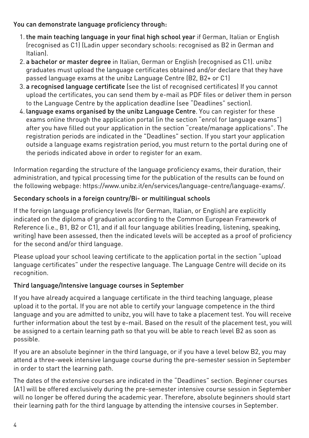### You can demonstrate language proficiency through:

- 1. the main teaching language in your final high school year if German, Italian or English (recognised as C1) (Ladin upper secondary schools: recognised as B2 in German and Italian).
- 2. a bachelor or master degree in Italian, German or English (recognised as C1). unibz graduates must upload the language certificates obtained and/or declare that they have passed language exams at the unibz Language Centre (B2, B2+ or C1)
- 3. a recognised language certificate (see the list of [recognised certificates\)](https://www.unibz.it/it/services/language-centre/study-in-three-languages/) If you cannot upload the certificates, you can send them by e-mail as PDF files or deliver them in person to the Language Centre by the application deadline (see "Deadlines" section).
- 4. language exams organised by the unibz Language Centre. You can register for these exams online through the application portal (in the section "enrol for language exams") after you have filled out your application in the section "create/manage applications". The registration periods are indicated in the "Deadlines" section. If you start your application outside a language exams registration period, you must return to the portal during one of the periods indicated above in order to register for an exam.

Information regarding the structure of the language proficiency exams, their duration, their administration, and typical processing time for the publication of the results can be found on the following webpage: <https://www.unibz.it/en/services/language-centre/language-exams/>.

### Secondary schools in a foreign country/Bi- or multilingual schools

If the foreign language proficiency levels (for German, Italian, or English) are explicitly indicated on the diploma of graduation according to the Common European Framework of Reference (i.e., B1, B2 or C1), and if all four language abilities (reading, listening, speaking, writing) have been assessed, then the indicated levels will be accepted as a proof of proficiency for the second and/or third language.

Please upload your school leaving certificate to the application portal in the section "upload language certificates" under the respective language. The Language Centre will decide on its recognition.

### Third language/Intensive language courses in September

If you have already acquired a language certificate in the third teaching language, please upload it to the portal. If you are not able to certify your language competence in the third language and you are admitted to unibz, you will have to take a placement test. You will receive further information about the test by e-mail. Based on the result of the placement test, you will be assigned to a certain learning path so that you will be able to reach level B2 as soon as possible.

If you are an absolute beginner in the third language, or if you have a level below B2, you may attend a three-week intensive language course during the pre-semester session in September in order to start the learning path.

The dates of the extensive courses are indicated in the "Deadlines" section. Beginner courses (A1) will be offered exclusively during the pre-semester intensive course session in September will no longer be offered during the academic year. Therefore, absolute beginners should start their learning path for the third language by attending the intensive courses in September.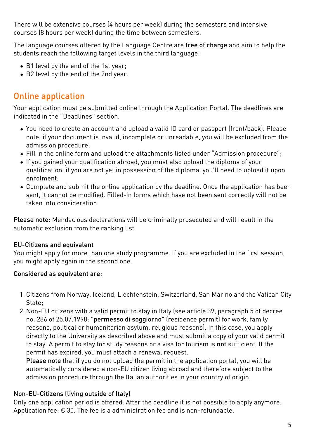There will be extensive courses (4 hours per week) during the semesters and intensive courses (8 hours per week) during the time between semesters.

The language courses offered by the Language Centre are free of charge and aim to help the students reach the following target levels in the third language:

- B1 level by the end of the 1st year;
- B2 level by the end of the 2nd year.

## Online application

Your application must be submitted online through the [Application Portal](https://aws.unibz.it/exup/). The deadlines are indicated in the "Deadlines" section.

- You need to create an account and upload a valid ID card or passport (front/back). Please note: if your document is invalid, incomplete or unreadable, you will be excluded from the admission procedure;
- Fill in the online form and upload the attachments listed under "Admission procedure";
- If you gained your qualification abroad, you must also upload the diploma of your qualification: if you are not yet in possession of the diploma, you'll need to upload it upon enrolment;
- Complete and submit the online application by the deadline. Once the application has been sent, it cannot be modified. Filled-in forms which have not been sent correctly will not be taken into consideration.

Please note: Mendacious declarations will be criminally prosecuted and will result in the automatic exclusion from the ranking list.

### EU-Citizens and equivalent

You might apply for more than one study programme. If you are excluded in the first session, you might apply again in the second one.

### Considered as equivalent are:

- 1. Citizens from Norway, Iceland, Liechtenstein, Switzerland, San Marino and the Vatican City State:
- 2. Non-EU citizens with a valid permit to stay in Italy (see article 39, paragraph 5 of decree no. 286 of 25.07.1998: "permesso di soggiorno" (residence permit) for work, family reasons, political or humanitarian asylum, religious reasons). In this case, you apply directly to the University as described above and must submit a copy of your valid permit to stay. A permit to stay for study reasons or a visa for tourism is not sufficient. If the permit has expired, you must attach a renewal request.

Please note that if you do not upload the permit in the application portal, you will be automatically considered a non-EU citizen living abroad and therefore subject to the admission procedure through the Italian authorities in your country of origin.

### Non-EU-Citizens (living outside of Italy)

Only one application period is offered. After the deadline it is not possible to apply anymore. Application fee: € 30. The fee is a administration fee and is non-refundable.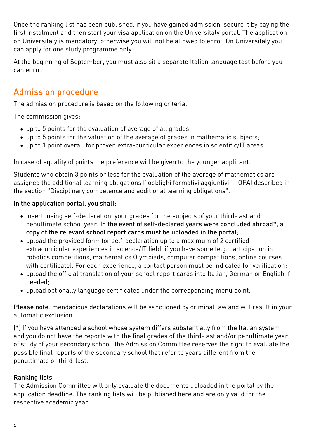Once the ranking list has been published, if you have gained admission, secure it by paying the first instalment and then start your visa application on the [Universitaly portal.](https://www.universitaly.it/index.php/) The application on Universitaly is mandatory, otherwise you will not be allowed to enrol. On Universitaly you can apply for one study programme only.

At the beginning of September, you must also sit a separate Italian language test before you can enrol.

## Admission procedure

The admission procedure is based on the following criteria.

The commission gives:

- up to 5 points for the evaluation of average of all grades;
- up to 5 points for the valuation of the average of grades in mathematic subjects;
- up to 1 point overall for proven extra-curricular experiences in scientific/IT areas.

In case of equality of points the preference will be given to the younger applicant.

Students who obtain 3 points or less for the evaluation of the average of mathematics are assigned the additional learning obligations ("obblighi formativi aggiuntivi" - OFA) described in the section "Disciplinary competence and additional learning obligations".

### In the application portal, you shall:

- insert, using self-declaration, your grades for the subjects of your third-last and penultimate school year. In the event of self-declared years were concluded abroad\*, a copy of the relevant school report cards must be uploaded in the portal;
- upload the provided form for self-declaration up to a maximum of 2 certified extracurricular experiences in science/IT field, if you have some (e.g. participation in robotics competitions, mathematics Olympiads, computer competitions, online courses with certificate). For each experience, a contact person must be indicated for verification;
- upload the official translation of your school report cards into Italian, German or English if needed;
- upload optionally language certificates under the corresponding menu point.

Please note: mendacious declarations will be sanctioned by criminal law and will result in your automatic exclusion.

(\*) If you have attended a school whose system differs substantially from the Italian system and you do not have the reports with the final grades of the third-last and/or penultimate year of study of your secondary school, the Admission Committee reserves the right to evaluate the possible final reports of the secondary school that refer to years different from the penultimate or third-last.

### Ranking lists

The Admission Committee will only evaluate the documents uploaded in the portal by the application deadline. The ranking lists will be published [here](https://www.unibz.it/en/applicants/ranking-lists/?stage=Stage) and are only valid for the respective academic year.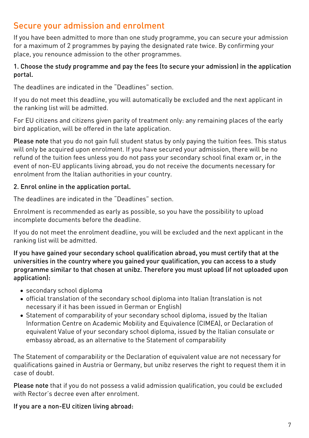## Secure your admission and enrolment

If you have been admitted to more than one study programme, you can secure your admission for a maximum of 2 programmes by paying the designated rate twice. By confirming your place, you renounce admission to the other programmes.

#### 1. Choose the study programme and pay the fees (to secure your admission) in the application portal.

The deadlines are indicated in the "Deadlines" section.

If you do not meet this deadline, you will automatically be excluded and the next applicant in the ranking list will be admitted.

For EU citizens and citizens given parity of treatment only: any remaining places of the early bird application, will be offered in the late application.

Please note that you do not gain full student status by only paying the tuition fees. This status will only be acquired upon enrolment. If you have secured your admission, there will be no refund of the tuition fees unless you do not pass your secondary school final exam or, in the event of non-EU applicants living abroad, you do not receive the documents necessary for enrolment from the Italian authorities in your country.

### 2. Enrol online in the application portal.

The deadlines are indicated in the "Deadlines" section.

Enrolment is recommended as early as possible, so you have the possibility to upload incomplete documents before the deadline.

If you do not meet the enrolment deadline, you will be excluded and the next applicant in the ranking list will be admitted.

If you have gained your secondary school qualification abroad, you must certify that at the universities in the country where you gained your qualification, you can access to a study programme similar to that chosen at unibz. Therefore you must upload (if not uploaded upon application):

- secondary school diploma
- official translation of the secondary school diploma into Italian (translation is not necessary if it has been issued in German or English)
- [Statement of comparability](https://www.cimea.it/EN/pagina-attestati-di-comparabilita-e-verifica-dei-titoli) of your secondary school diploma, issued by the Italian Information Centre on Academic Mobility and Equivalence (CIMEA), or Declaration of equivalent Value of your secondary school diploma, issued by the Italian consulate or embassy abroad, as an alternative to the Statement of comparability

The Statement of comparability or the Declaration of equivalent value are not necessary for qualifications gained in Austria or Germany, but unibz reserves the right to request them it in case of doubt.

Please note that if you do not possess a valid admission qualification, you could be excluded with Rector's decree even after enrolment.

If you are a non-EU citizen living abroad: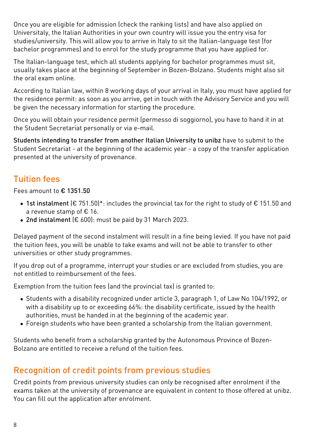Once you are eligible for admission (check the ranking lists) and have also applied on [Universitaly,](https://www.universitaly.it/index.php/) the Italian Authorities in your own country will issue you the entry visa for studies/university. This will allow you to arrive in Italy to sit the Italian-language test (for bachelor programmes) and to enrol for the study programme that you have applied for.

The Italian-language test, which all students applying for bachelor programmes must sit, usually takes place at the beginning of September in Bozen-Bolzano. Students might also sit the oral exam online.

According to Italian law, within 8 working days of your arrival in Italy, you must have applied for the residence permit: as soon as you arrive, get in touch with the Advisory Service and you will be given the necessary information for starting the procedure.

Once you will obtain your residence permit (permesso di soggiorno), you have to hand it in at the Student Secretariat personally or via e-mail.

Students intending to transfer from another Italian University to unibz have to submit to the Student Secretariat - at the beginning of the academic year - a copy of the transfer application presented at the university of provenance.

# Tuition fees

#### Fees amount to € 1351.50

- 1st instalment ( $\epsilon$  751.50)\*: includes the provincial tax for the right to study of  $\epsilon$  151.50 and a revenue stamp of € 16.
- 2nd instalment (€ 600): must be paid by 31 March 2023.

Delayed payment of the second instalment will result in a fine being levied. If you have not paid the tuition fees, you will be unable to take exams and will not be able to transfer to other universities or other study programmes.

If you drop out of a programme, interrupt your studies or are excluded from studies, you are not entitled to reimbursement of the fees.

Exemption from the tuition fees (and the provincial tax) is granted to:

- Students with a disability recognized under article 3, paragraph 1, of Law No 104/1992, or with a disability up to or exceeding 66%: the disability certificate, issued by the health authorities, must be handed in at the beginning of the academic year.
- Foreign students who have been granted a scholarship from the Italian government.

Students who benefit from a scholarship granted by the Autonomous Province of Bozen-Bolzano are entitled to receive a refund of the tuition fees.

## Recognition of credit points from previous studies

Credit points from previous university studies can only be recognised after enrolment if the exams taken at the university of provenance are equivalent in content to those offered at unibz. You can fill out the application after enrolment.